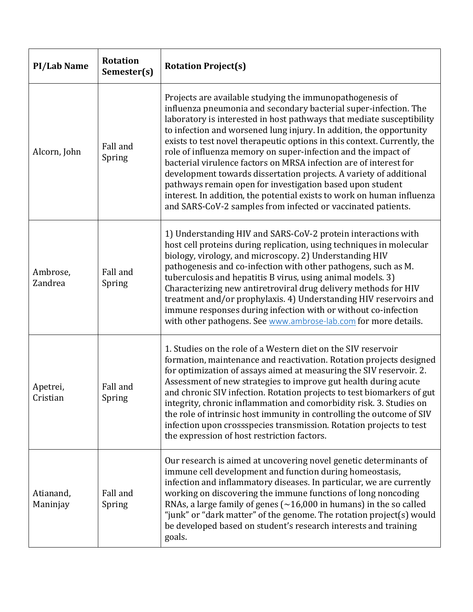| <b>PI/Lab Name</b>    | <b>Rotation</b><br>Semester(s) | <b>Rotation Project(s)</b>                                                                                                                                                                                                                                                                                                                                                                                                                                                                                                                                                                                                                                                                                                                                                   |
|-----------------------|--------------------------------|------------------------------------------------------------------------------------------------------------------------------------------------------------------------------------------------------------------------------------------------------------------------------------------------------------------------------------------------------------------------------------------------------------------------------------------------------------------------------------------------------------------------------------------------------------------------------------------------------------------------------------------------------------------------------------------------------------------------------------------------------------------------------|
| Alcorn, John          | Fall and<br>Spring             | Projects are available studying the immunopathogenesis of<br>influenza pneumonia and secondary bacterial super-infection. The<br>laboratory is interested in host pathways that mediate susceptibility<br>to infection and worsened lung injury. In addition, the opportunity<br>exists to test novel therapeutic options in this context. Currently, the<br>role of influenza memory on super-infection and the impact of<br>bacterial virulence factors on MRSA infection are of interest for<br>development towards dissertation projects. A variety of additional<br>pathways remain open for investigation based upon student<br>interest. In addition, the potential exists to work on human influenza<br>and SARS-CoV-2 samples from infected or vaccinated patients. |
| Ambrose,<br>Zandrea   | Fall and<br>Spring             | 1) Understanding HIV and SARS-CoV-2 protein interactions with<br>host cell proteins during replication, using techniques in molecular<br>biology, virology, and microscopy. 2) Understanding HIV<br>pathogenesis and co-infection with other pathogens, such as M.<br>tuberculosis and hepatitis B virus, using animal models. 3)<br>Characterizing new antiretroviral drug delivery methods for HIV<br>treatment and/or prophylaxis. 4) Understanding HIV reservoirs and<br>immune responses during infection with or without co-infection<br>with other pathogens. See www.ambrose-lab.com for more details.                                                                                                                                                               |
| Apetrei,<br>Cristian  | Fall and<br>Spring             | 1. Studies on the role of a Western diet on the SIV reservoir<br>formation, maintenance and reactivation. Rotation projects designed<br>for optimization of assays aimed at measuring the SIV reservoir. 2.<br>Assessment of new strategies to improve gut health during acute<br>and chronic SIV infection. Rotation projects to test biomarkers of gut<br>integrity, chronic inflammation and comorbidity risk. 3. Studies on<br>the role of intrinsic host immunity in controlling the outcome of SIV<br>infection upon crossspecies transmission. Rotation projects to test<br>the expression of host restriction factors.                                                                                                                                               |
| Atianand,<br>Maninjay | Fall and<br>Spring             | Our research is aimed at uncovering novel genetic determinants of<br>immune cell development and function during homeostasis,<br>infection and inflammatory diseases. In particular, we are currently<br>working on discovering the immune functions of long noncoding<br>RNAs, a large family of genes $(\sim 16,000$ in humans) in the so called<br>"junk" or "dark matter" of the genome. The rotation project(s) would<br>be developed based on student's research interests and training<br>goals.                                                                                                                                                                                                                                                                      |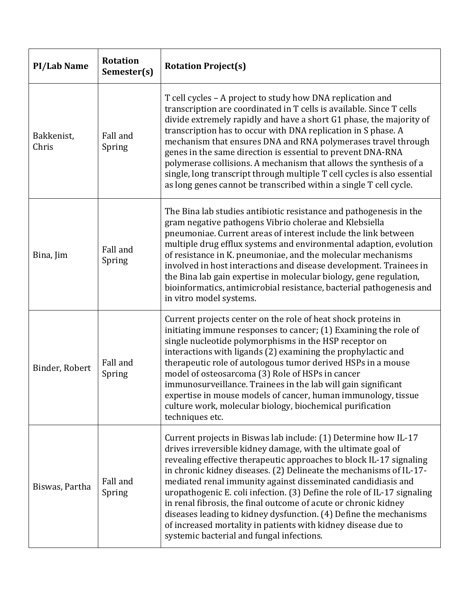| <b>PI/Lab Name</b>  | <b>Rotation</b><br>Semester(s) | <b>Rotation Project(s)</b>                                                                                                                                                                                                                                                                                                                                                                                                                                                                                                                                                                                                                                                    |
|---------------------|--------------------------------|-------------------------------------------------------------------------------------------------------------------------------------------------------------------------------------------------------------------------------------------------------------------------------------------------------------------------------------------------------------------------------------------------------------------------------------------------------------------------------------------------------------------------------------------------------------------------------------------------------------------------------------------------------------------------------|
| Bakkenist,<br>Chris | Fall and<br>Spring             | T cell cycles - A project to study how DNA replication and<br>transcription are coordinated in T cells is available. Since T cells<br>divide extremely rapidly and have a short G1 phase, the majority of<br>transcription has to occur with DNA replication in S phase. A<br>mechanism that ensures DNA and RNA polymerases travel through<br>genes in the same direction is essential to prevent DNA-RNA<br>polymerase collisions. A mechanism that allows the synthesis of a<br>single, long transcript through multiple T cell cycles is also essential<br>as long genes cannot be transcribed within a single T cell cycle.                                              |
| Bina, Jim           | Fall and<br>Spring             | The Bina lab studies antibiotic resistance and pathogenesis in the<br>gram negative pathogens Vibrio cholerae and Klebsiella<br>pneumoniae. Current areas of interest include the link between<br>multiple drug efflux systems and environmental adaption, evolution<br>of resistance in K. pneumoniae, and the molecular mechanisms<br>involved in host interactions and disease development. Trainees in<br>the Bina lab gain expertise in molecular biology, gene regulation,<br>bioinformatics, antimicrobial resistance, bacterial pathogenesis and<br>in vitro model systems.                                                                                           |
| Binder, Robert      | Fall and<br>Spring             | Current projects center on the role of heat shock proteins in<br>initiating immune responses to cancer; (1) Examining the role of<br>single nucleotide polymorphisms in the HSP receptor on<br>interactions with ligands (2) examining the prophylactic and<br>therapeutic role of autologous tumor derived HSPs in a mouse<br>model of osteosarcoma (3) Role of HSPs in cancer<br>immunosurveillance. Trainees in the lab will gain significant<br>expertise in mouse models of cancer, human immunology, tissue<br>culture work, molecular biology, biochemical purification<br>techniques etc.                                                                             |
| Biswas, Partha      | Fall and<br>Spring             | Current projects in Biswas lab include: (1) Determine how IL-17<br>drives irreversible kidney damage, with the ultimate goal of<br>revealing effective therapeutic approaches to block IL-17 signaling<br>in chronic kidney diseases. (2) Delineate the mechanisms of IL-17-<br>mediated renal immunity against disseminated candidiasis and<br>uropathogenic E. coli infection. (3) Define the role of IL-17 signaling<br>in renal fibrosis, the final outcome of acute or chronic kidney<br>diseases leading to kidney dysfunction. (4) Define the mechanisms<br>of increased mortality in patients with kidney disease due to<br>systemic bacterial and fungal infections. |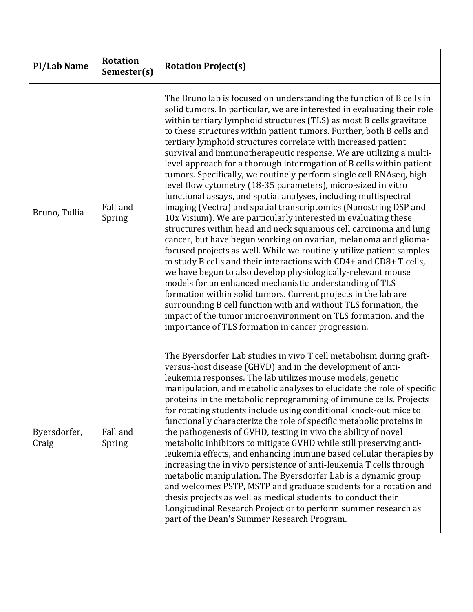| <b>PI/Lab Name</b>    | <b>Rotation</b><br>Semester(s) | <b>Rotation Project(s)</b>                                                                                                                                                                                                                                                                                                                                                                                                                                                                                                                                                                                                                                                                                                                                                                                                                                                                                                                                                                                                                                                                                                                                                                                                                                                                                                                                                                                                                                                                                                                      |
|-----------------------|--------------------------------|-------------------------------------------------------------------------------------------------------------------------------------------------------------------------------------------------------------------------------------------------------------------------------------------------------------------------------------------------------------------------------------------------------------------------------------------------------------------------------------------------------------------------------------------------------------------------------------------------------------------------------------------------------------------------------------------------------------------------------------------------------------------------------------------------------------------------------------------------------------------------------------------------------------------------------------------------------------------------------------------------------------------------------------------------------------------------------------------------------------------------------------------------------------------------------------------------------------------------------------------------------------------------------------------------------------------------------------------------------------------------------------------------------------------------------------------------------------------------------------------------------------------------------------------------|
| Bruno, Tullia         | Fall and<br>Spring             | The Bruno lab is focused on understanding the function of B cells in<br>solid tumors. In particular, we are interested in evaluating their role<br>within tertiary lymphoid structures (TLS) as most B cells gravitate<br>to these structures within patient tumors. Further, both B cells and<br>tertiary lymphoid structures correlate with increased patient<br>survival and immunotherapeutic response. We are utilizing a multi-<br>level approach for a thorough interrogation of B cells within patient<br>tumors. Specifically, we routinely perform single cell RNAseq, high<br>level flow cytometry (18-35 parameters), micro-sized in vitro<br>functional assays, and spatial analyses, including multispectral<br>imaging (Vectra) and spatial transcriptomics (Nanostring DSP and<br>10x Visium). We are particularly interested in evaluating these<br>structures within head and neck squamous cell carcinoma and lung<br>cancer, but have begun working on ovarian, melanoma and glioma-<br>focused projects as well. While we routinely utilize patient samples<br>to study B cells and their interactions with CD4+ and CD8+ T cells,<br>we have begun to also develop physiologically-relevant mouse<br>models for an enhanced mechanistic understanding of TLS<br>formation within solid tumors. Current projects in the lab are<br>surrounding B cell function with and without TLS formation, the<br>impact of the tumor microenvironment on TLS formation, and the<br>importance of TLS formation in cancer progression. |
| Byersdorfer,<br>Craig | Fall and<br>Spring             | The Byersdorfer Lab studies in vivo T cell metabolism during graft-<br>versus-host disease (GHVD) and in the development of anti-<br>leukemia responses. The lab utilizes mouse models, genetic<br>manipulation, and metabolic analyses to elucidate the role of specific<br>proteins in the metabolic reprogramming of immune cells. Projects<br>for rotating students include using conditional knock-out mice to<br>functionally characterize the role of specific metabolic proteins in<br>the pathogenesis of GVHD, testing in vivo the ability of novel<br>metabolic inhibitors to mitigate GVHD while still preserving anti-<br>leukemia effects, and enhancing immune based cellular therapies by<br>increasing the in vivo persistence of anti-leukemia T cells through<br>metabolic manipulation. The Byersdorfer Lab is a dynamic group<br>and welcomes PSTP, MSTP and graduate students for a rotation and<br>thesis projects as well as medical students to conduct their<br>Longitudinal Research Project or to perform summer research as<br>part of the Dean's Summer Research Program.                                                                                                                                                                                                                                                                                                                                                                                                                                         |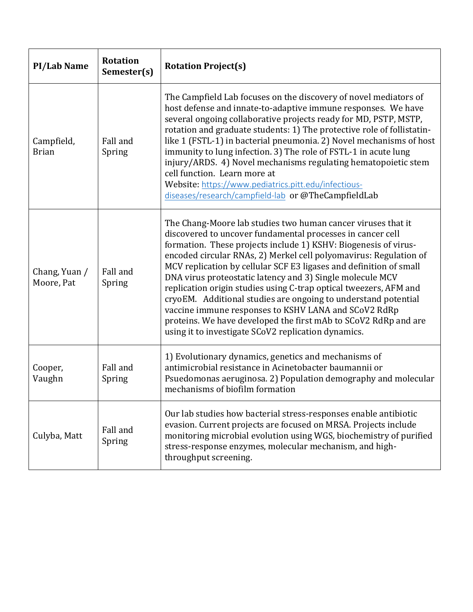| <b>PI/Lab Name</b>          | <b>Rotation</b><br>Semester(s) | <b>Rotation Project(s)</b>                                                                                                                                                                                                                                                                                                                                                                                                                                                                                                                                                                                                                                                                                                     |
|-----------------------------|--------------------------------|--------------------------------------------------------------------------------------------------------------------------------------------------------------------------------------------------------------------------------------------------------------------------------------------------------------------------------------------------------------------------------------------------------------------------------------------------------------------------------------------------------------------------------------------------------------------------------------------------------------------------------------------------------------------------------------------------------------------------------|
| Campfield,<br><b>Brian</b>  | Fall and<br>Spring             | The Campfield Lab focuses on the discovery of novel mediators of<br>host defense and innate-to-adaptive immune responses. We have<br>several ongoing collaborative projects ready for MD, PSTP, MSTP,<br>rotation and graduate students: 1) The protective role of follistatin-<br>like 1 (FSTL-1) in bacterial pneumonia. 2) Novel mechanisms of host<br>immunity to lung infection. 3) The role of FSTL-1 in acute lung<br>injury/ARDS. 4) Novel mechanisms regulating hematopoietic stem<br>cell function. Learn more at<br>Website: https://www.pediatrics.pitt.edu/infectious-<br>diseases/research/campfield-lab or @TheCampfieldLab                                                                                     |
| Chang, Yuan /<br>Moore, Pat | Fall and<br>Spring             | The Chang-Moore lab studies two human cancer viruses that it<br>discovered to uncover fundamental processes in cancer cell<br>formation. These projects include 1) KSHV: Biogenesis of virus-<br>encoded circular RNAs, 2) Merkel cell polyomavirus: Regulation of<br>MCV replication by cellular SCF E3 ligases and definition of small<br>DNA virus proteostatic latency and 3) Single molecule MCV<br>replication origin studies using C-trap optical tweezers, AFM and<br>cryoEM. Additional studies are ongoing to understand potential<br>vaccine immune responses to KSHV LANA and SCoV2 RdRp<br>proteins. We have developed the first mAb to SCoV2 RdRp and are<br>using it to investigate SCoV2 replication dynamics. |
| Cooper,<br>Vaughn           | Fall and<br>Spring             | 1) Evolutionary dynamics, genetics and mechanisms of<br>antimicrobial resistance in Acinetobacter baumannii or<br>Psuedomonas aeruginosa. 2) Population demography and molecular<br>mechanisms of biofilm formation                                                                                                                                                                                                                                                                                                                                                                                                                                                                                                            |
| Culyba, Matt                | Fall and<br>Spring             | Our lab studies how bacterial stress-responses enable antibiotic<br>evasion. Current projects are focused on MRSA. Projects include<br>monitoring microbial evolution using WGS, biochemistry of purified<br>stress-response enzymes, molecular mechanism, and high-<br>throughput screening.                                                                                                                                                                                                                                                                                                                                                                                                                                  |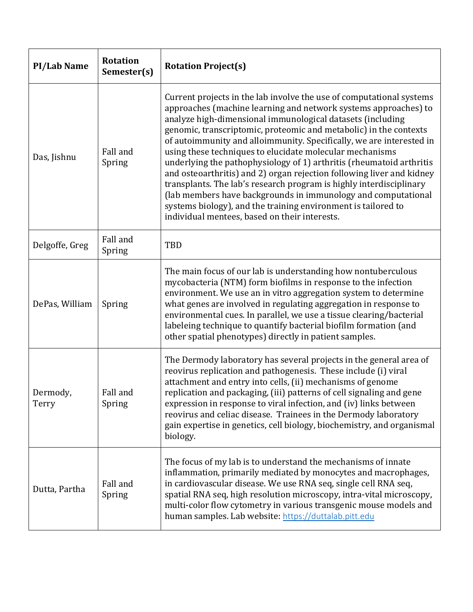| <b>PI/Lab Name</b> | <b>Rotation</b><br>Semester(s) | <b>Rotation Project(s)</b>                                                                                                                                                                                                                                                                                                                                                                                                                                                                                                                                                                                                                                                                                                                                                                                                |
|--------------------|--------------------------------|---------------------------------------------------------------------------------------------------------------------------------------------------------------------------------------------------------------------------------------------------------------------------------------------------------------------------------------------------------------------------------------------------------------------------------------------------------------------------------------------------------------------------------------------------------------------------------------------------------------------------------------------------------------------------------------------------------------------------------------------------------------------------------------------------------------------------|
| Das, Jishnu        | Fall and<br>Spring             | Current projects in the lab involve the use of computational systems<br>approaches (machine learning and network systems approaches) to<br>analyze high-dimensional immunological datasets (including<br>genomic, transcriptomic, proteomic and metabolic) in the contexts<br>of autoimmunity and alloimmunity. Specifically, we are interested in<br>using these techniques to elucidate molecular mechanisms<br>underlying the pathophysiology of 1) arthritis (rheumatoid arthritis<br>and osteoarthritis) and 2) organ rejection following liver and kidney<br>transplants. The lab's research program is highly interdisciplinary<br>(lab members have backgrounds in immunology and computational<br>systems biology), and the training environment is tailored to<br>individual mentees, based on their interests. |
| Delgoffe, Greg     | Fall and<br>Spring             | <b>TBD</b>                                                                                                                                                                                                                                                                                                                                                                                                                                                                                                                                                                                                                                                                                                                                                                                                                |
| DePas, William     | Spring                         | The main focus of our lab is understanding how nontuberculous<br>mycobacteria (NTM) form biofilms in response to the infection<br>environment. We use an in vitro aggregation system to determine<br>what genes are involved in regulating aggregation in response to<br>environmental cues. In parallel, we use a tissue clearing/bacterial<br>labeleing technique to quantify bacterial biofilm formation (and<br>other spatial phenotypes) directly in patient samples.                                                                                                                                                                                                                                                                                                                                                |
| Dermody,<br>Terry  | Fall and<br>Spring             | The Dermody laboratory has several projects in the general area of<br>reovirus replication and pathogenesis. These include (i) viral<br>attachment and entry into cells, (ii) mechanisms of genome<br>replication and packaging, (iii) patterns of cell signaling and gene<br>expression in response to viral infection, and (iv) links between<br>reovirus and celiac disease. Trainees in the Dermody laboratory<br>gain expertise in genetics, cell biology, biochemistry, and organismal<br>biology.                                                                                                                                                                                                                                                                                                                  |
| Dutta, Partha      | Fall and<br>Spring             | The focus of my lab is to understand the mechanisms of innate<br>inflammation, primarily mediated by monocytes and macrophages,<br>in cardiovascular disease. We use RNA seq, single cell RNA seq,<br>spatial RNA seq, high resolution microscopy, intra-vital microscopy,<br>multi-color flow cytometry in various transgenic mouse models and<br>human samples. Lab website: https://duttalab.pitt.edu                                                                                                                                                                                                                                                                                                                                                                                                                  |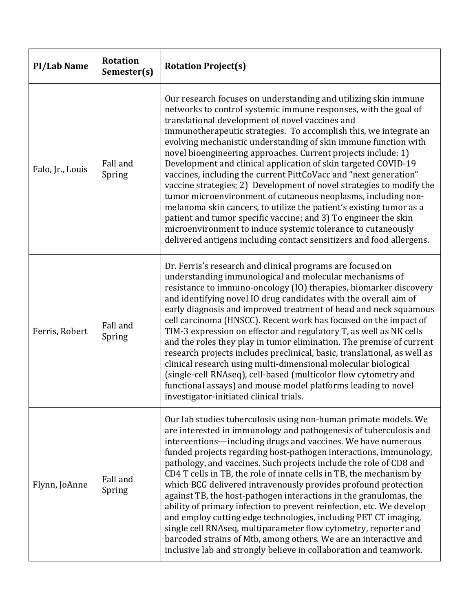| <b>PI/Lab Name</b> | <b>Rotation</b><br>Semester(s) | <b>Rotation Project(s)</b>                                                                                                                                                                                                                                                                                                                                                                                                                                                                                                                                                                                                                                                                                                                                                                                                                                                                                                                                      |
|--------------------|--------------------------------|-----------------------------------------------------------------------------------------------------------------------------------------------------------------------------------------------------------------------------------------------------------------------------------------------------------------------------------------------------------------------------------------------------------------------------------------------------------------------------------------------------------------------------------------------------------------------------------------------------------------------------------------------------------------------------------------------------------------------------------------------------------------------------------------------------------------------------------------------------------------------------------------------------------------------------------------------------------------|
| Falo, Jr., Louis   | Fall and<br>Spring             | Our research focuses on understanding and utilizing skin immune<br>networks to control systemic immune responses, with the goal of<br>translational development of novel vaccines and<br>immunotherapeutic strategies. To accomplish this, we integrate an<br>evolving mechanistic understanding of skin immune function with<br>novel bioengineering approaches. Current projects include: 1)<br>Development and clinical application of skin targeted COVID-19<br>vaccines, including the current PittCoVacc and "next generation"<br>vaccine strategies; 2) Development of novel strategies to modify the<br>tumor microenvironment of cutaneous neoplasms, including non-<br>melanoma skin cancers, to utilize the patient's existing tumor as a<br>patient and tumor specific vaccine; and 3) To engineer the skin<br>microenvironment to induce systemic tolerance to cutaneously<br>delivered antigens including contact sensitizers and food allergens. |
| Ferris, Robert     | Fall and<br>Spring             | Dr. Ferris's research and clinical programs are focused on<br>understanding immunological and molecular mechanisms of<br>resistance to immuno-oncology (IO) therapies, biomarker discovery<br>and identifying novel IO drug candidates with the overall aim of<br>early diagnosis and improved treatment of head and neck squamous<br>cell carcinoma (HNSCC). Recent work has focused on the impact of<br>TIM-3 expression on effector and regulatory T, as well as NK cells<br>and the roles they play in tumor elimination. The premise of current<br>research projects includes preclinical, basic, translational, as well as<br>clinical research using multi-dimensional molecular biological<br>(single-cell RNAseq), cell-based (multicolor flow cytometry and<br>functional assays) and mouse model platforms leading to novel<br>investigator-initiated clinical trials.                                                                               |
| Flynn, JoAnne      | Fall and<br>Spring             | Our lab studies tuberculosis using non-human primate models. We<br>are interested in immunology and pathogenesis of tuberculosis and<br>interventions-including drugs and vaccines. We have numerous<br>funded projects regarding host-pathogen interactions, immunology,<br>pathology, and vaccines. Such projects include the role of CD8 and<br>CD4 T cells in TB, the role of innate cells in TB, the mechanism by<br>which BCG delivered intravenously provides profound protection<br>against TB, the host-pathogen interactions in the granulomas, the<br>ability of primary infection to prevent reinfection, etc. We develop<br>and employ cutting edge technologies, including PET CT imaging,<br>single cell RNAseq, multiparameter flow cytometry, reporter and<br>barcoded strains of Mtb, among others. We are an interactive and<br>inclusive lab and strongly believe in collaboration and teamwork.                                            |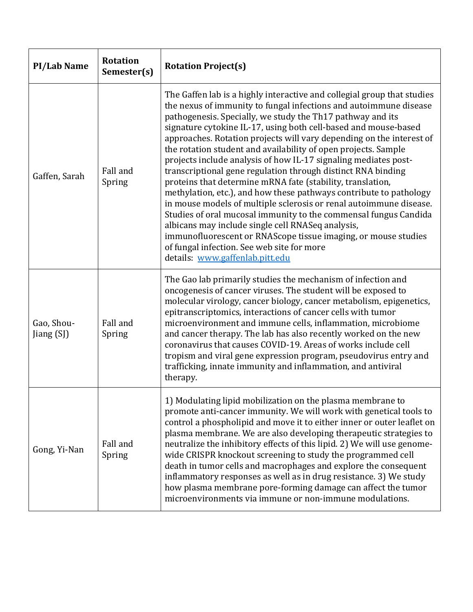| <b>PI/Lab Name</b>       | <b>Rotation</b><br>Semester(s) | <b>Rotation Project(s)</b>                                                                                                                                                                                                                                                                                                                                                                                                                                                                                                                                                                                                                                                                                                                                                                                                                                                                                                                                                                                                                       |
|--------------------------|--------------------------------|--------------------------------------------------------------------------------------------------------------------------------------------------------------------------------------------------------------------------------------------------------------------------------------------------------------------------------------------------------------------------------------------------------------------------------------------------------------------------------------------------------------------------------------------------------------------------------------------------------------------------------------------------------------------------------------------------------------------------------------------------------------------------------------------------------------------------------------------------------------------------------------------------------------------------------------------------------------------------------------------------------------------------------------------------|
| Gaffen, Sarah            | Fall and<br>Spring             | The Gaffen lab is a highly interactive and collegial group that studies<br>the nexus of immunity to fungal infections and autoimmune disease<br>pathogenesis. Specially, we study the Th17 pathway and its<br>signature cytokine IL-17, using both cell-based and mouse-based<br>approaches. Rotation projects will vary depending on the interest of<br>the rotation student and availability of open projects. Sample<br>projects include analysis of how IL-17 signaling mediates post-<br>transcriptional gene regulation through distinct RNA binding<br>proteins that determine mRNA fate (stability, translation,<br>methylation, etc.), and how these pathways contribute to pathology<br>in mouse models of multiple sclerosis or renal autoimmune disease.<br>Studies of oral mucosal immunity to the commensal fungus Candida<br>albicans may include single cell RNASeq analysis,<br>immunofluorescent or RNAScope tissue imaging, or mouse studies<br>of fungal infection. See web site for more<br>details: www.gaffenlab.pitt.edu |
| Gao, Shou-<br>Jiang (SJ) | Fall and<br>Spring             | The Gao lab primarily studies the mechanism of infection and<br>oncogenesis of cancer viruses. The student will be exposed to<br>molecular virology, cancer biology, cancer metabolism, epigenetics,<br>epitranscriptomics, interactions of cancer cells with tumor<br>microenvironment and immune cells, inflammation, microbiome<br>and cancer therapy. The lab has also recently worked on the new<br>coronavirus that causes COVID-19. Areas of works include cell<br>tropism and viral gene expression program, pseudovirus entry and<br>trafficking, innate immunity and inflammation, and antiviral<br>therapy.                                                                                                                                                                                                                                                                                                                                                                                                                           |
| Gong, Yi-Nan             | Fall and<br>Spring             | 1) Modulating lipid mobilization on the plasma membrane to<br>promote anti-cancer immunity. We will work with genetical tools to<br>control a phospholipid and move it to either inner or outer leaflet on<br>plasma membrane. We are also developing therapeutic strategies to<br>neutralize the inhibitory effects of this lipid. 2) We will use genome-<br>wide CRISPR knockout screening to study the programmed cell<br>death in tumor cells and macrophages and explore the consequent<br>inflammatory responses as well as in drug resistance. 3) We study<br>how plasma membrane pore-forming damage can affect the tumor<br>microenvironments via immune or non-immune modulations.                                                                                                                                                                                                                                                                                                                                                     |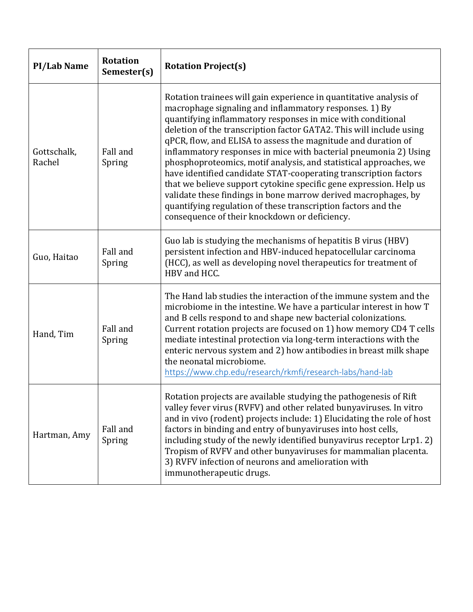| <b>PI/Lab Name</b>    | <b>Rotation</b><br>Semester(s) | <b>Rotation Project(s)</b>                                                                                                                                                                                                                                                                                                                                                                                                                                                                                                                                                                                                                                                                                                                                                                                 |
|-----------------------|--------------------------------|------------------------------------------------------------------------------------------------------------------------------------------------------------------------------------------------------------------------------------------------------------------------------------------------------------------------------------------------------------------------------------------------------------------------------------------------------------------------------------------------------------------------------------------------------------------------------------------------------------------------------------------------------------------------------------------------------------------------------------------------------------------------------------------------------------|
| Gottschalk,<br>Rachel | Fall and<br>Spring             | Rotation trainees will gain experience in quantitative analysis of<br>macrophage signaling and inflammatory responses. 1) By<br>quantifying inflammatory responses in mice with conditional<br>deletion of the transcription factor GATA2. This will include using<br>qPCR, flow, and ELISA to assess the magnitude and duration of<br>inflammatory responses in mice with bacterial pneumonia 2) Using<br>phosphoproteomics, motif analysis, and statistical approaches, we<br>have identified candidate STAT-cooperating transcription factors<br>that we believe support cytokine specific gene expression. Help us<br>validate these findings in bone marrow derived macrophages, by<br>quantifying regulation of these transcription factors and the<br>consequence of their knockdown or deficiency. |
| Guo, Haitao           | Fall and<br>Spring             | Guo lab is studying the mechanisms of hepatitis B virus (HBV)<br>persistent infection and HBV-induced hepatocellular carcinoma<br>(HCC), as well as developing novel therapeutics for treatment of<br>HBV and HCC.                                                                                                                                                                                                                                                                                                                                                                                                                                                                                                                                                                                         |
| Hand, Tim             | Fall and<br>Spring             | The Hand lab studies the interaction of the immune system and the<br>microbiome in the intestine. We have a particular interest in how T<br>and B cells respond to and shape new bacterial colonizations.<br>Current rotation projects are focused on 1) how memory CD4 T cells<br>mediate intestinal protection via long-term interactions with the<br>enteric nervous system and 2) how antibodies in breast milk shape<br>the neonatal microbiome.<br>https://www.chp.edu/research/rkmfi/research-labs/hand-lab                                                                                                                                                                                                                                                                                         |
| Hartman, Amy          | Fall and<br>Spring             | Rotation projects are available studying the pathogenesis of Rift<br>valley fever virus (RVFV) and other related bunyaviruses. In vitro<br>and in vivo (rodent) projects include: 1) Elucidating the role of host<br>factors in binding and entry of bunyaviruses into host cells,<br>including study of the newly identified bunyavirus receptor Lrp1.2)<br>Tropism of RVFV and other bunyaviruses for mammalian placenta.<br>3) RVFV infection of neurons and amelioration with<br>immunotherapeutic drugs.                                                                                                                                                                                                                                                                                              |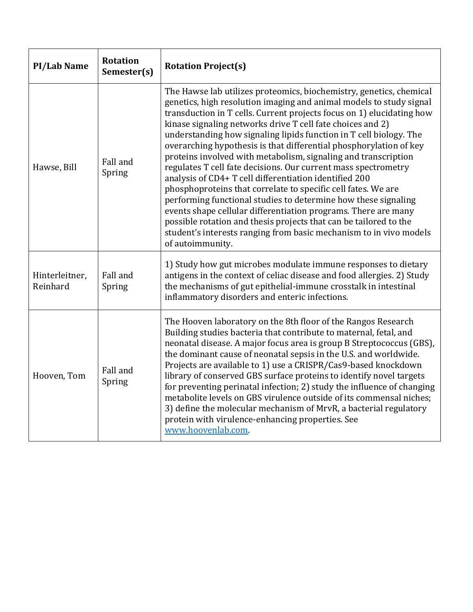| <b>PI/Lab Name</b>         | <b>Rotation</b><br>Semester(s) | <b>Rotation Project(s)</b>                                                                                                                                                                                                                                                                                                                                                                                                                                                                                                                                                                                                                                                                                                                                                                                                                                                                                                                                                                      |
|----------------------------|--------------------------------|-------------------------------------------------------------------------------------------------------------------------------------------------------------------------------------------------------------------------------------------------------------------------------------------------------------------------------------------------------------------------------------------------------------------------------------------------------------------------------------------------------------------------------------------------------------------------------------------------------------------------------------------------------------------------------------------------------------------------------------------------------------------------------------------------------------------------------------------------------------------------------------------------------------------------------------------------------------------------------------------------|
| Hawse, Bill                | Fall and<br>Spring             | The Hawse lab utilizes proteomics, biochemistry, genetics, chemical<br>genetics, high resolution imaging and animal models to study signal<br>transduction in T cells. Current projects focus on 1) elucidating how<br>kinase signaling networks drive T cell fate choices and 2)<br>understanding how signaling lipids function in T cell biology. The<br>overarching hypothesis is that differential phosphorylation of key<br>proteins involved with metabolism, signaling and transcription<br>regulates T cell fate decisions. Our current mass spectrometry<br>analysis of CD4+ T cell differentiation identified 200<br>phosphoproteins that correlate to specific cell fates. We are<br>performing functional studies to determine how these signaling<br>events shape cellular differentiation programs. There are many<br>possible rotation and thesis projects that can be tailored to the<br>student's interests ranging from basic mechanism to in vivo models<br>of autoimmunity. |
| Hinterleitner,<br>Reinhard | Fall and<br>Spring             | 1) Study how gut microbes modulate immune responses to dietary<br>antigens in the context of celiac disease and food allergies. 2) Study<br>the mechanisms of gut epithelial-immune crosstalk in intestinal<br>inflammatory disorders and enteric infections.                                                                                                                                                                                                                                                                                                                                                                                                                                                                                                                                                                                                                                                                                                                                   |
| Hooven, Tom                | Fall and<br>Spring             | The Hooven laboratory on the 8th floor of the Rangos Research<br>Building studies bacteria that contribute to maternal, fetal, and<br>neonatal disease. A major focus area is group B Streptococcus (GBS),<br>the dominant cause of neonatal sepsis in the U.S. and worldwide.<br>Projects are available to 1) use a CRISPR/Cas9-based knockdown<br>library of conserved GBS surface proteins to identify novel targets<br>for preventing perinatal infection; 2) study the influence of changing<br>metabolite levels on GBS virulence outside of its commensal niches;<br>3) define the molecular mechanism of MrvR, a bacterial regulatory<br>protein with virulence-enhancing properties. See<br>www.hoovenlab.com.                                                                                                                                                                                                                                                                         |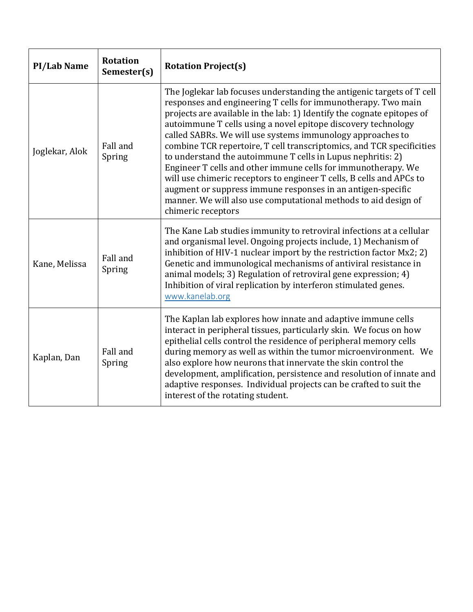| <b>PI/Lab Name</b> | <b>Rotation</b><br>Semester(s) | <b>Rotation Project(s)</b>                                                                                                                                                                                                                                                                                                                                                                                                                                                                                                                                                                                                                                                                                                                                                                |
|--------------------|--------------------------------|-------------------------------------------------------------------------------------------------------------------------------------------------------------------------------------------------------------------------------------------------------------------------------------------------------------------------------------------------------------------------------------------------------------------------------------------------------------------------------------------------------------------------------------------------------------------------------------------------------------------------------------------------------------------------------------------------------------------------------------------------------------------------------------------|
| Joglekar, Alok     | Fall and<br>Spring             | The Joglekar lab focuses understanding the antigenic targets of T cell<br>responses and engineering T cells for immunotherapy. Two main<br>projects are available in the lab: 1) Identify the cognate epitopes of<br>autoimmune T cells using a novel epitope discovery technology<br>called SABRs. We will use systems immunology approaches to<br>combine TCR repertoire, T cell transcriptomics, and TCR specificities<br>to understand the autoimmune T cells in Lupus nephritis: 2)<br>Engineer T cells and other immune cells for immunotherapy. We<br>will use chimeric receptors to engineer T cells, B cells and APCs to<br>augment or suppress immune responses in an antigen-specific<br>manner. We will also use computational methods to aid design of<br>chimeric receptors |
| Kane, Melissa      | Fall and<br>Spring             | The Kane Lab studies immunity to retroviral infections at a cellular<br>and organismal level. Ongoing projects include, 1) Mechanism of<br>inhibition of HIV-1 nuclear import by the restriction factor Mx2; 2)<br>Genetic and immunological mechanisms of antiviral resistance in<br>animal models; 3) Regulation of retroviral gene expression; 4)<br>Inhibition of viral replication by interferon stimulated genes.<br>www.kanelab.org                                                                                                                                                                                                                                                                                                                                                |
| Kaplan, Dan        | Fall and<br>Spring             | The Kaplan lab explores how innate and adaptive immune cells<br>interact in peripheral tissues, particularly skin. We focus on how<br>epithelial cells control the residence of peripheral memory cells<br>during memory as well as within the tumor microenvironment. We<br>also explore how neurons that innervate the skin control the<br>development, amplification, persistence and resolution of innate and<br>adaptive responses. Individual projects can be crafted to suit the<br>interest of the rotating student.                                                                                                                                                                                                                                                              |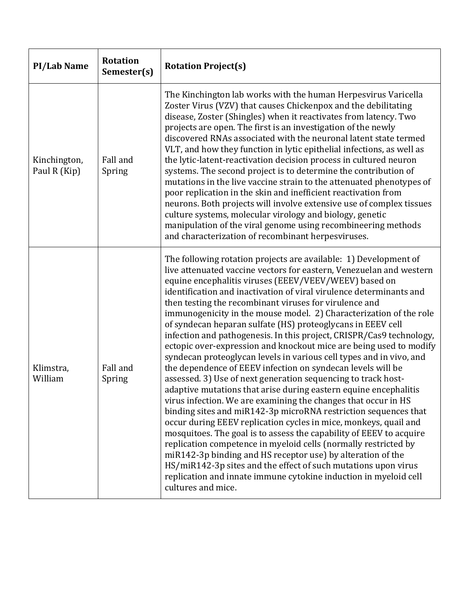| <b>PI/Lab Name</b>           | <b>Rotation</b><br>Semester(s) | <b>Rotation Project(s)</b>                                                                                                                                                                                                                                                                                                                                                                                                                                                                                                                                                                                                                                                                                                                                                                                                                                                                                                                                                                                                                                                                                                                                                                                                                                                                                                                                                                                                                                                    |
|------------------------------|--------------------------------|-------------------------------------------------------------------------------------------------------------------------------------------------------------------------------------------------------------------------------------------------------------------------------------------------------------------------------------------------------------------------------------------------------------------------------------------------------------------------------------------------------------------------------------------------------------------------------------------------------------------------------------------------------------------------------------------------------------------------------------------------------------------------------------------------------------------------------------------------------------------------------------------------------------------------------------------------------------------------------------------------------------------------------------------------------------------------------------------------------------------------------------------------------------------------------------------------------------------------------------------------------------------------------------------------------------------------------------------------------------------------------------------------------------------------------------------------------------------------------|
| Kinchington,<br>Paul R (Kip) | Fall and<br>Spring             | The Kinchington lab works with the human Herpesvirus Varicella<br>Zoster Virus (VZV) that causes Chickenpox and the debilitating<br>disease, Zoster (Shingles) when it reactivates from latency. Two<br>projects are open. The first is an investigation of the newly<br>discovered RNAs associated with the neuronal latent state termed<br>VLT, and how they function in lytic epithelial infections, as well as<br>the lytic-latent-reactivation decision process in cultured neuron<br>systems. The second project is to determine the contribution of<br>mutations in the live vaccine strain to the attenuated phenotypes of<br>poor replication in the skin and inefficient reactivation from<br>neurons. Both projects will involve extensive use of complex tissues<br>culture systems, molecular virology and biology, genetic<br>manipulation of the viral genome using recombineering methods<br>and characterization of recombinant herpesviruses.                                                                                                                                                                                                                                                                                                                                                                                                                                                                                                               |
| Klimstra,<br>William         | Fall and<br>Spring             | The following rotation projects are available: 1) Development of<br>live attenuated vaccine vectors for eastern, Venezuelan and western<br>equine encephalitis viruses (EEEV/VEEV/WEEV) based on<br>identification and inactivation of viral virulence determinants and<br>then testing the recombinant viruses for virulence and<br>immunogenicity in the mouse model. 2) Characterization of the role<br>of syndecan heparan sulfate (HS) proteoglycans in EEEV cell<br>infection and pathogenesis. In this project, CRISPR/Cas9 technology,<br>ectopic over-expression and knockout mice are being used to modify<br>syndecan proteoglycan levels in various cell types and in vivo, and<br>the dependence of EEEV infection on syndecan levels will be<br>assessed. 3) Use of next generation sequencing to track host-<br>adaptive mutations that arise during eastern equine encephalitis<br>virus infection. We are examining the changes that occur in HS<br>binding sites and miR142-3p microRNA restriction sequences that<br>occur during EEEV replication cycles in mice, monkeys, quail and<br>mosquitoes. The goal is to assess the capability of EEEV to acquire<br>replication competence in myeloid cells (normally restricted by<br>miR142-3p binding and HS receptor use) by alteration of the<br>HS/miR142-3p sites and the effect of such mutations upon virus<br>replication and innate immune cytokine induction in myeloid cell<br>cultures and mice. |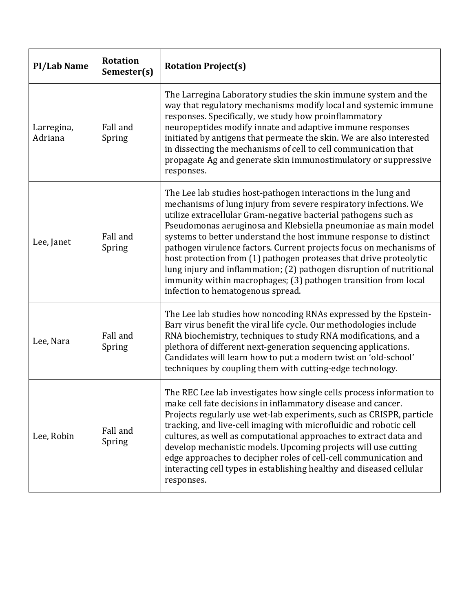| <b>PI/Lab Name</b>    | <b>Rotation</b><br>Semester(s) | <b>Rotation Project(s)</b>                                                                                                                                                                                                                                                                                                                                                                                                                                                                                                                                                                                                                                                |
|-----------------------|--------------------------------|---------------------------------------------------------------------------------------------------------------------------------------------------------------------------------------------------------------------------------------------------------------------------------------------------------------------------------------------------------------------------------------------------------------------------------------------------------------------------------------------------------------------------------------------------------------------------------------------------------------------------------------------------------------------------|
| Larregina,<br>Adriana | Fall and<br>Spring             | The Larregina Laboratory studies the skin immune system and the<br>way that regulatory mechanisms modify local and systemic immune<br>responses. Specifically, we study how proinflammatory<br>neuropeptides modify innate and adaptive immune responses<br>initiated by antigens that permeate the skin. We are also interested<br>in dissecting the mechanisms of cell to cell communication that<br>propagate Ag and generate skin immunostimulatory or suppressive<br>responses.                                                                                                                                                                                      |
| Lee, Janet            | Fall and<br>Spring             | The Lee lab studies host-pathogen interactions in the lung and<br>mechanisms of lung injury from severe respiratory infections. We<br>utilize extracellular Gram-negative bacterial pathogens such as<br>Pseudomonas aeruginosa and Klebsiella pneumoniae as main model<br>systems to better understand the host immune response to distinct<br>pathogen virulence factors. Current projects focus on mechanisms of<br>host protection from (1) pathogen proteases that drive proteolytic<br>lung injury and inflammation; (2) pathogen disruption of nutritional<br>immunity within macrophages; (3) pathogen transition from local<br>infection to hematogenous spread. |
| Lee, Nara             | Fall and<br>Spring             | The Lee lab studies how noncoding RNAs expressed by the Epstein-<br>Barr virus benefit the viral life cycle. Our methodologies include<br>RNA biochemistry, techniques to study RNA modifications, and a<br>plethora of different next-generation sequencing applications.<br>Candidates will learn how to put a modern twist on 'old-school'<br>techniques by coupling them with cutting-edge technology.                                                                                                                                                                                                                                                                |
| Lee, Robin            | Fall and<br>Spring             | The REC Lee lab investigates how single cells process information to<br>make cell fate decisions in inflammatory disease and cancer.<br>Projects regularly use wet-lab experiments, such as CRISPR, particle<br>tracking, and live-cell imaging with microfluidic and robotic cell<br>cultures, as well as computational approaches to extract data and<br>develop mechanistic models. Upcoming projects will use cutting<br>edge approaches to decipher roles of cell-cell communication and<br>interacting cell types in establishing healthy and diseased cellular<br>responses.                                                                                       |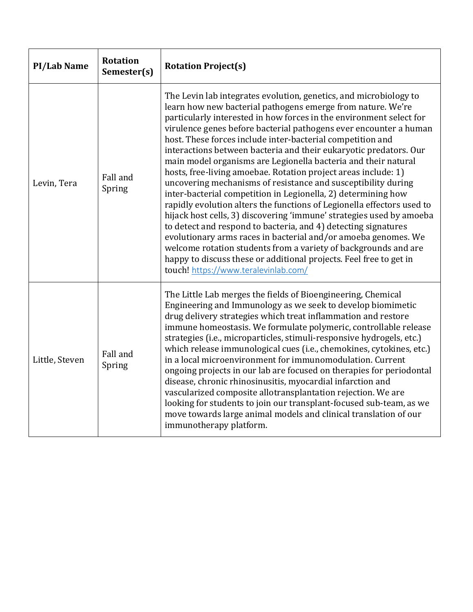| <b>PI/Lab Name</b> | <b>Rotation</b><br>Semester(s) | <b>Rotation Project(s)</b>                                                                                                                                                                                                                                                                                                                                                                                                                                                                                                                                                                                                                                                                                                                                                                                                                                                                                                                                                                                                                                                                                                                                   |
|--------------------|--------------------------------|--------------------------------------------------------------------------------------------------------------------------------------------------------------------------------------------------------------------------------------------------------------------------------------------------------------------------------------------------------------------------------------------------------------------------------------------------------------------------------------------------------------------------------------------------------------------------------------------------------------------------------------------------------------------------------------------------------------------------------------------------------------------------------------------------------------------------------------------------------------------------------------------------------------------------------------------------------------------------------------------------------------------------------------------------------------------------------------------------------------------------------------------------------------|
| Levin, Tera        | Fall and<br>Spring             | The Levin lab integrates evolution, genetics, and microbiology to<br>learn how new bacterial pathogens emerge from nature. We're<br>particularly interested in how forces in the environment select for<br>virulence genes before bacterial pathogens ever encounter a human<br>host. These forces include inter-bacterial competition and<br>interactions between bacteria and their eukaryotic predators. Our<br>main model organisms are Legionella bacteria and their natural<br>hosts, free-living amoebae. Rotation project areas include: 1)<br>uncovering mechanisms of resistance and susceptibility during<br>inter-bacterial competition in Legionella, 2) determining how<br>rapidly evolution alters the functions of Legionella effectors used to<br>hijack host cells, 3) discovering 'immune' strategies used by amoeba<br>to detect and respond to bacteria, and 4) detecting signatures<br>evolutionary arms races in bacterial and/or amoeba genomes. We<br>welcome rotation students from a variety of backgrounds and are<br>happy to discuss these or additional projects. Feel free to get in<br>touch! https://www.teralevinlab.com/ |
| Little, Steven     | Fall and<br>Spring             | The Little Lab merges the fields of Bioengineering, Chemical<br>Engineering and Immunology as we seek to develop biomimetic<br>drug delivery strategies which treat inflammation and restore<br>immune homeostasis. We formulate polymeric, controllable release<br>strategies (i.e., microparticles, stimuli-responsive hydrogels, etc.)<br>which release immunological cues (i.e., chemokines, cytokines, etc.)<br>in a local microenvironment for immunomodulation. Current<br>ongoing projects in our lab are focused on therapies for periodontal<br>disease, chronic rhinosinusitis, myocardial infarction and<br>vascularized composite allotransplantation rejection. We are<br>looking for students to join our transplant-focused sub-team, as we<br>move towards large animal models and clinical translation of our<br>immunotherapy platform.                                                                                                                                                                                                                                                                                                   |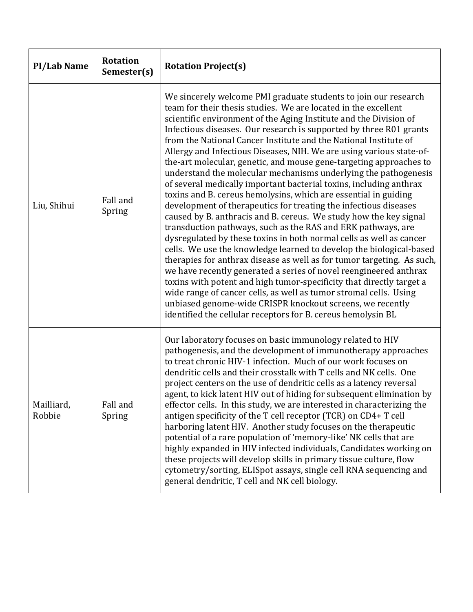| <b>PI/Lab Name</b>   | <b>Rotation</b><br>Semester(s) | <b>Rotation Project(s)</b>                                                                                                                                                                                                                                                                                                                                                                                                                                                                                                                                                                                                                                                                                                                                                                                                                                                                                                                                                                                                                                                                                                                                                                                                                                                                                                                                                                                                                                                                 |
|----------------------|--------------------------------|--------------------------------------------------------------------------------------------------------------------------------------------------------------------------------------------------------------------------------------------------------------------------------------------------------------------------------------------------------------------------------------------------------------------------------------------------------------------------------------------------------------------------------------------------------------------------------------------------------------------------------------------------------------------------------------------------------------------------------------------------------------------------------------------------------------------------------------------------------------------------------------------------------------------------------------------------------------------------------------------------------------------------------------------------------------------------------------------------------------------------------------------------------------------------------------------------------------------------------------------------------------------------------------------------------------------------------------------------------------------------------------------------------------------------------------------------------------------------------------------|
| Liu, Shihui          | Fall and<br>Spring             | We sincerely welcome PMI graduate students to join our research<br>team for their thesis studies. We are located in the excellent<br>scientific environment of the Aging Institute and the Division of<br>Infectious diseases. Our research is supported by three R01 grants<br>from the National Cancer Institute and the National Institute of<br>Allergy and Infectious Diseases, NIH. We are using various state-of-<br>the-art molecular, genetic, and mouse gene-targeting approaches to<br>understand the molecular mechanisms underlying the pathogenesis<br>of several medically important bacterial toxins, including anthrax<br>toxins and B. cereus hemolysins, which are essential in guiding<br>development of therapeutics for treating the infectious diseases<br>caused by B. anthracis and B. cereus. We study how the key signal<br>transduction pathways, such as the RAS and ERK pathways, are<br>dysregulated by these toxins in both normal cells as well as cancer<br>cells. We use the knowledge learned to develop the biological-based<br>therapies for anthrax disease as well as for tumor targeting. As such,<br>we have recently generated a series of novel reengineered anthrax<br>toxins with potent and high tumor-specificity that directly target a<br>wide range of cancer cells, as well as tumor stromal cells. Using<br>unbiased genome-wide CRISPR knockout screens, we recently<br>identified the cellular receptors for B. cereus hemolysin BL |
| Mailliard,<br>Robbie | Fall and<br>Spring             | Our laboratory focuses on basic immunology related to HIV<br>pathogenesis, and the development of immunotherapy approaches<br>to treat chronic HIV-1 infection. Much of our work focuses on<br>dendritic cells and their crosstalk with T cells and NK cells. One<br>project centers on the use of dendritic cells as a latency reversal<br>agent, to kick latent HIV out of hiding for subsequent elimination by<br>effector cells. In this study, we are interested in characterizing the<br>antigen specificity of the T cell receptor (TCR) on CD4+ T cell<br>harboring latent HIV. Another study focuses on the therapeutic<br>potential of a rare population of 'memory-like' NK cells that are<br>highly expanded in HIV infected individuals, Candidates working on<br>these projects will develop skills in primary tissue culture, flow<br>cytometry/sorting, ELISpot assays, single cell RNA sequencing and<br>general dendritic, T cell and NK cell biology.                                                                                                                                                                                                                                                                                                                                                                                                                                                                                                                   |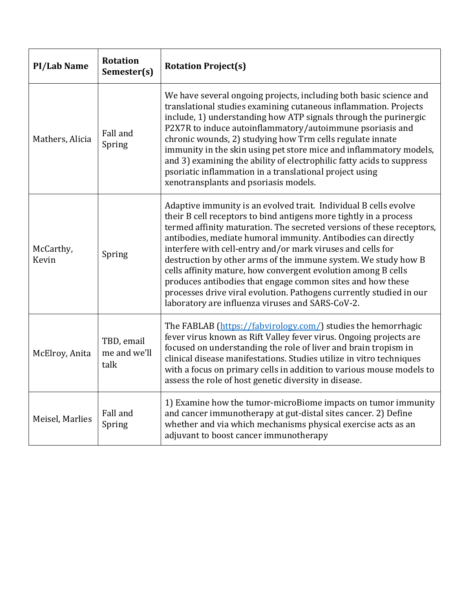| <b>PI/Lab Name</b> | <b>Rotation</b><br>Semester(s)     | <b>Rotation Project(s)</b>                                                                                                                                                                                                                                                                                                                                                                                                                                                                                                                                                                                                                                                 |
|--------------------|------------------------------------|----------------------------------------------------------------------------------------------------------------------------------------------------------------------------------------------------------------------------------------------------------------------------------------------------------------------------------------------------------------------------------------------------------------------------------------------------------------------------------------------------------------------------------------------------------------------------------------------------------------------------------------------------------------------------|
| Mathers, Alicia    | Fall and<br>Spring                 | We have several ongoing projects, including both basic science and<br>translational studies examining cutaneous inflammation. Projects<br>include, 1) understanding how ATP signals through the purinergic<br>P2X7R to induce autoinflammatory/autoimmune psoriasis and<br>chronic wounds, 2) studying how Trm cells regulate innate<br>immunity in the skin using pet store mice and inflammatory models,<br>and 3) examining the ability of electrophilic fatty acids to suppress<br>psoriatic inflammation in a translational project using<br>xenotransplants and psoriasis models.                                                                                    |
| McCarthy,<br>Kevin | Spring                             | Adaptive immunity is an evolved trait. Individual B cells evolve<br>their B cell receptors to bind antigens more tightly in a process<br>termed affinity maturation. The secreted versions of these receptors,<br>antibodies, mediate humoral immunity. Antibodies can directly<br>interfere with cell-entry and/or mark viruses and cells for<br>destruction by other arms of the immune system. We study how B<br>cells affinity mature, how convergent evolution among B cells<br>produces antibodies that engage common sites and how these<br>processes drive viral evolution. Pathogens currently studied in our<br>laboratory are influenza viruses and SARS-CoV-2. |
| McElroy, Anita     | TBD, email<br>me and we'll<br>talk | The FABLAB (https://fabvirology.com/) studies the hemorrhagic<br>fever virus known as Rift Valley fever virus. Ongoing projects are<br>focused on understanding the role of liver and brain tropism in<br>clinical disease manifestations. Studies utilize in vitro techniques<br>with a focus on primary cells in addition to various mouse models to<br>assess the role of host genetic diversity in disease.                                                                                                                                                                                                                                                            |
| Meisel, Marlies    | Fall and<br>Spring                 | 1) Examine how the tumor-microBiome impacts on tumor immunity<br>and cancer immunotherapy at gut-distal sites cancer. 2) Define<br>whether and via which mechanisms physical exercise acts as an<br>adjuvant to boost cancer immunotherapy                                                                                                                                                                                                                                                                                                                                                                                                                                 |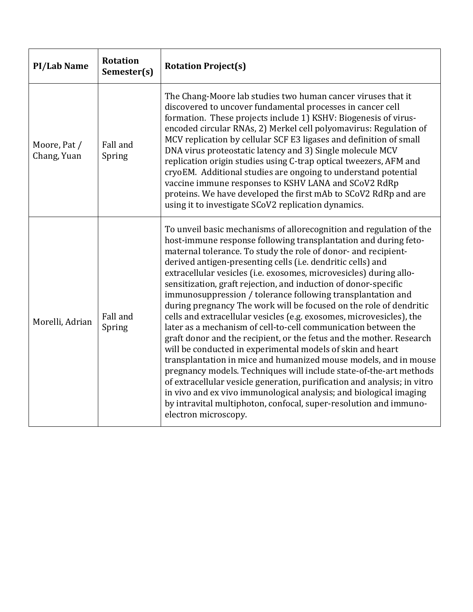| <b>PI/Lab Name</b>          | <b>Rotation</b><br>Semester(s) | <b>Rotation Project(s)</b>                                                                                                                                                                                                                                                                                                                                                                                                                                                                                                                                                                                                                                                                                                                                                                                                                                                                                                                                                                                                                                                                                                                                                                                                     |
|-----------------------------|--------------------------------|--------------------------------------------------------------------------------------------------------------------------------------------------------------------------------------------------------------------------------------------------------------------------------------------------------------------------------------------------------------------------------------------------------------------------------------------------------------------------------------------------------------------------------------------------------------------------------------------------------------------------------------------------------------------------------------------------------------------------------------------------------------------------------------------------------------------------------------------------------------------------------------------------------------------------------------------------------------------------------------------------------------------------------------------------------------------------------------------------------------------------------------------------------------------------------------------------------------------------------|
| Moore, Pat /<br>Chang, Yuan | Fall and<br>Spring             | The Chang-Moore lab studies two human cancer viruses that it<br>discovered to uncover fundamental processes in cancer cell<br>formation. These projects include 1) KSHV: Biogenesis of virus-<br>encoded circular RNAs, 2) Merkel cell polyomavirus: Regulation of<br>MCV replication by cellular SCF E3 ligases and definition of small<br>DNA virus proteostatic latency and 3) Single molecule MCV<br>replication origin studies using C-trap optical tweezers, AFM and<br>cryoEM. Additional studies are ongoing to understand potential<br>vaccine immune responses to KSHV LANA and SCoV2 RdRp<br>proteins. We have developed the first mAb to SCoV2 RdRp and are<br>using it to investigate SCoV2 replication dynamics.                                                                                                                                                                                                                                                                                                                                                                                                                                                                                                 |
| Morelli, Adrian             | Fall and<br>Spring             | To unveil basic mechanisms of allorecognition and regulation of the<br>host-immune response following transplantation and during feto-<br>maternal tolerance. To study the role of donor- and recipient-<br>derived antigen-presenting cells (i.e. dendritic cells) and<br>extracellular vesicles (i.e. exosomes, microvesicles) during allo-<br>sensitization, graft rejection, and induction of donor-specific<br>immunosuppression / tolerance following transplantation and<br>during pregnancy The work will be focused on the role of dendritic<br>cells and extracellular vesicles (e.g. exosomes, microvesicles), the<br>later as a mechanism of cell-to-cell communication between the<br>graft donor and the recipient, or the fetus and the mother. Research<br>will be conducted in experimental models of skin and heart<br>transplantation in mice and humanized mouse models, and in mouse<br>pregnancy models. Techniques will include state-of-the-art methods<br>of extracellular vesicle generation, purification and analysis; in vitro<br>in vivo and ex vivo immunological analysis; and biological imaging<br>by intravital multiphoton, confocal, super-resolution and immuno-<br>electron microscopy. |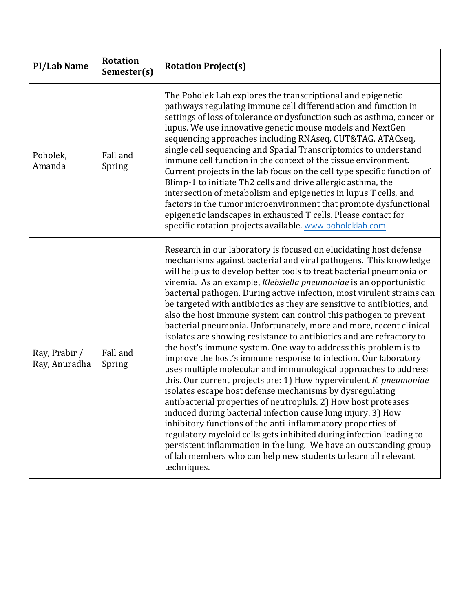| <b>PI/Lab Name</b>             | <b>Rotation</b><br>Semester(s) | <b>Rotation Project(s)</b>                                                                                                                                                                                                                                                                                                                                                                                                                                                                                                                                                                                                                                                                                                                                                                                                                                                                                                                                                                                                                                                                                                                                                                                                                                                                                                                                                                                                        |
|--------------------------------|--------------------------------|-----------------------------------------------------------------------------------------------------------------------------------------------------------------------------------------------------------------------------------------------------------------------------------------------------------------------------------------------------------------------------------------------------------------------------------------------------------------------------------------------------------------------------------------------------------------------------------------------------------------------------------------------------------------------------------------------------------------------------------------------------------------------------------------------------------------------------------------------------------------------------------------------------------------------------------------------------------------------------------------------------------------------------------------------------------------------------------------------------------------------------------------------------------------------------------------------------------------------------------------------------------------------------------------------------------------------------------------------------------------------------------------------------------------------------------|
| Poholek,<br>Amanda             | Fall and<br>Spring             | The Poholek Lab explores the transcriptional and epigenetic<br>pathways regulating immune cell differentiation and function in<br>settings of loss of tolerance or dysfunction such as asthma, cancer or<br>lupus. We use innovative genetic mouse models and NextGen<br>sequencing approaches including RNAseq, CUT&TAG, ATACseq,<br>single cell sequencing and Spatial Transcriptomics to understand<br>immune cell function in the context of the tissue environment.<br>Current projects in the lab focus on the cell type specific function of<br>Blimp-1 to initiate Th2 cells and drive allergic asthma, the<br>intersection of metabolism and epigenetics in lupus T cells, and<br>factors in the tumor microenvironment that promote dysfunctional<br>epigenetic landscapes in exhausted T cells. Please contact for<br>specific rotation projects available. www.poholeklab.com                                                                                                                                                                                                                                                                                                                                                                                                                                                                                                                                         |
| Ray, Prabir /<br>Ray, Anuradha | Fall and<br>Spring             | Research in our laboratory is focused on elucidating host defense<br>mechanisms against bacterial and viral pathogens. This knowledge<br>will help us to develop better tools to treat bacterial pneumonia or<br>viremia. As an example, Klebsiella pneumoniae is an opportunistic<br>bacterial pathogen. During active infection, most virulent strains can<br>be targeted with antibiotics as they are sensitive to antibiotics, and<br>also the host immune system can control this pathogen to prevent<br>bacterial pneumonia. Unfortunately, more and more, recent clinical<br>isolates are showing resistance to antibiotics and are refractory to<br>the host's immune system. One way to address this problem is to<br>improve the host's immune response to infection. Our laboratory<br>uses multiple molecular and immunological approaches to address<br>this. Our current projects are: 1) How hypervirulent K. pneumoniae<br>isolates escape host defense mechanisms by dysregulating<br>antibacterial properties of neutrophils. 2) How host proteases<br>induced during bacterial infection cause lung injury. 3) How<br>inhibitory functions of the anti-inflammatory properties of<br>regulatory myeloid cells gets inhibited during infection leading to<br>persistent inflammation in the lung. We have an outstanding group<br>of lab members who can help new students to learn all relevant<br>techniques. |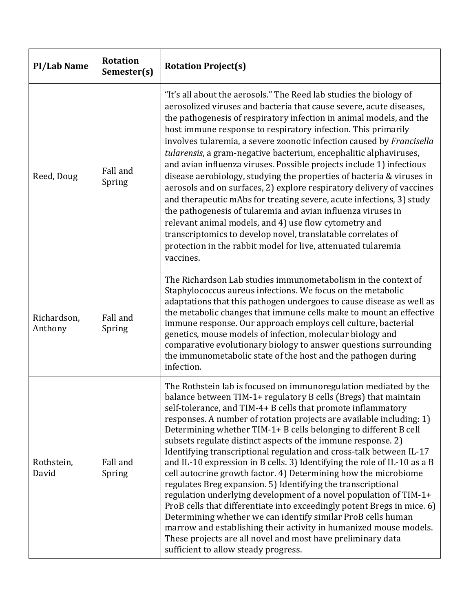| <b>PI/Lab Name</b>     | <b>Rotation</b><br>Semester(s) | <b>Rotation Project(s)</b>                                                                                                                                                                                                                                                                                                                                                                                                                                                                                                                                                                                                                                                                                                                                                                                                                                                                                                                                                                                                                                                                        |
|------------------------|--------------------------------|---------------------------------------------------------------------------------------------------------------------------------------------------------------------------------------------------------------------------------------------------------------------------------------------------------------------------------------------------------------------------------------------------------------------------------------------------------------------------------------------------------------------------------------------------------------------------------------------------------------------------------------------------------------------------------------------------------------------------------------------------------------------------------------------------------------------------------------------------------------------------------------------------------------------------------------------------------------------------------------------------------------------------------------------------------------------------------------------------|
| Reed, Doug             | Fall and<br>Spring             | "It's all about the aerosols." The Reed lab studies the biology of<br>aerosolized viruses and bacteria that cause severe, acute diseases,<br>the pathogenesis of respiratory infection in animal models, and the<br>host immune response to respiratory infection. This primarily<br>involves tularemia, a severe zoonotic infection caused by Francisella<br>tularensis, a gram-negative bacterium, encephalitic alphaviruses,<br>and avian influenza viruses. Possible projects include 1) infectious<br>disease aerobiology, studying the properties of bacteria & viruses in<br>aerosols and on surfaces, 2) explore respiratory delivery of vaccines<br>and therapeutic mAbs for treating severe, acute infections, 3) study<br>the pathogenesis of tularemia and avian influenza viruses in<br>relevant animal models, and 4) use flow cytometry and<br>transcriptomics to develop novel, translatable correlates of<br>protection in the rabbit model for live, attenuated tularemia<br>vaccines.                                                                                          |
| Richardson,<br>Anthony | Fall and<br>Spring             | The Richardson Lab studies immunometabolism in the context of<br>Staphylococcus aureus infections. We focus on the metabolic<br>adaptations that this pathogen undergoes to cause disease as well as<br>the metabolic changes that immune cells make to mount an effective<br>immune response. Our approach employs cell culture, bacterial<br>genetics, mouse models of infection, molecular biology and<br>comparative evolutionary biology to answer questions surrounding<br>the immunometabolic state of the host and the pathogen during<br>infection.                                                                                                                                                                                                                                                                                                                                                                                                                                                                                                                                      |
| Rothstein,<br>David    | Fall and<br>Spring             | The Rothstein lab is focused on immunoregulation mediated by the<br>balance between TIM-1+ regulatory B cells (Bregs) that maintain<br>self-tolerance, and TIM-4+ B cells that promote inflammatory<br>responses. A number of rotation projects are available including: 1)<br>Determining whether TIM-1+ B cells belonging to different B cell<br>subsets regulate distinct aspects of the immune response. 2)<br>Identifying transcriptional regulation and cross-talk between IL-17<br>and IL-10 expression in B cells. 3) Identifying the role of IL-10 as a B<br>cell autocrine growth factor. 4) Determining how the microbiome<br>regulates Breg expansion. 5) Identifying the transcriptional<br>regulation underlying development of a novel population of TIM-1+<br>ProB cells that differentiate into exceedingly potent Bregs in mice. 6)<br>Determining whether we can identify similar ProB cells human<br>marrow and establishing their activity in humanized mouse models.<br>These projects are all novel and most have preliminary data<br>sufficient to allow steady progress. |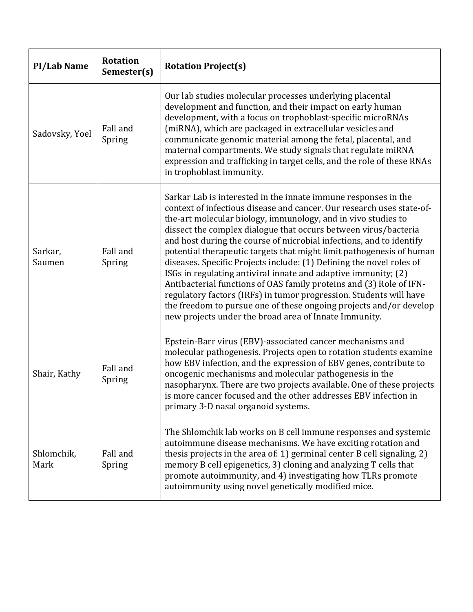| <b>PI/Lab Name</b> | <b>Rotation</b><br>Semester(s) | <b>Rotation Project(s)</b>                                                                                                                                                                                                                                                                                                                                                                                                                                                                                                                                                                                                                                                                                                                                                                                                                       |
|--------------------|--------------------------------|--------------------------------------------------------------------------------------------------------------------------------------------------------------------------------------------------------------------------------------------------------------------------------------------------------------------------------------------------------------------------------------------------------------------------------------------------------------------------------------------------------------------------------------------------------------------------------------------------------------------------------------------------------------------------------------------------------------------------------------------------------------------------------------------------------------------------------------------------|
| Sadovsky, Yoel     | Fall and<br>Spring             | Our lab studies molecular processes underlying placental<br>development and function, and their impact on early human<br>development, with a focus on trophoblast-specific microRNAs<br>(miRNA), which are packaged in extracellular vesicles and<br>communicate genomic material among the fetal, placental, and<br>maternal compartments. We study signals that regulate miRNA<br>expression and trafficking in target cells, and the role of these RNAs<br>in trophoblast immunity.                                                                                                                                                                                                                                                                                                                                                           |
| Sarkar,<br>Saumen  | Fall and<br>Spring             | Sarkar Lab is interested in the innate immune responses in the<br>context of infectious disease and cancer. Our research uses state-of-<br>the-art molecular biology, immunology, and in vivo studies to<br>dissect the complex dialogue that occurs between virus/bacteria<br>and host during the course of microbial infections, and to identify<br>potential therapeutic targets that might limit pathogenesis of human<br>diseases. Specific Projects include: (1) Defining the novel roles of<br>ISGs in regulating antiviral innate and adaptive immunity; (2)<br>Antibacterial functions of OAS family proteins and (3) Role of IFN-<br>regulatory factors (IRFs) in tumor progression. Students will have<br>the freedom to pursue one of these ongoing projects and/or develop<br>new projects under the broad area of Innate Immunity. |
| Shair, Kathy       | Fall and<br>Spring             | Epstein-Barr virus (EBV)-associated cancer mechanisms and<br>molecular pathogenesis. Projects open to rotation students examine<br>how EBV infection, and the expression of EBV genes, contribute to<br>oncogenic mechanisms and molecular pathogenesis in the<br>nasopharynx. There are two projects available. One of these projects<br>is more cancer focused and the other addresses EBV infection in<br>primary 3-D nasal organoid systems.                                                                                                                                                                                                                                                                                                                                                                                                 |
| Shlomchik,<br>Mark | Fall and<br>Spring             | The Shlomchik lab works on B cell immune responses and systemic<br>autoimmune disease mechanisms. We have exciting rotation and<br>thesis projects in the area of: 1) germinal center B cell signaling, 2)<br>memory B cell epigenetics, 3) cloning and analyzing T cells that<br>promote autoimmunity, and 4) investigating how TLRs promote<br>autoimmunity using novel genetically modified mice.                                                                                                                                                                                                                                                                                                                                                                                                                                             |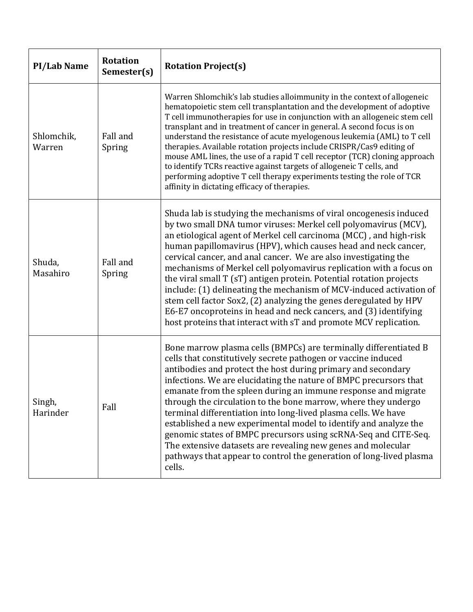| <b>PI/Lab Name</b>   | <b>Rotation</b><br>Semester(s) | <b>Rotation Project(s)</b>                                                                                                                                                                                                                                                                                                                                                                                                                                                                                                                                                                                                                                                                                                                                                       |
|----------------------|--------------------------------|----------------------------------------------------------------------------------------------------------------------------------------------------------------------------------------------------------------------------------------------------------------------------------------------------------------------------------------------------------------------------------------------------------------------------------------------------------------------------------------------------------------------------------------------------------------------------------------------------------------------------------------------------------------------------------------------------------------------------------------------------------------------------------|
| Shlomchik,<br>Warren | Fall and<br>Spring             | Warren Shlomchik's lab studies alloimmunity in the context of allogeneic<br>hematopoietic stem cell transplantation and the development of adoptive<br>T cell immunotherapies for use in conjunction with an allogeneic stem cell<br>transplant and in treatment of cancer in general. A second focus is on<br>understand the resistance of acute myelogenous leukemia (AML) to T cell<br>therapies. Available rotation projects include CRISPR/Cas9 editing of<br>mouse AML lines, the use of a rapid T cell receptor (TCR) cloning approach<br>to identify TCRs reactive against targets of allogeneic T cells, and<br>performing adoptive T cell therapy experiments testing the role of TCR<br>affinity in dictating efficacy of therapies.                                  |
| Shuda,<br>Masahiro   | Fall and<br>Spring             | Shuda lab is studying the mechanisms of viral oncogenesis induced<br>by two small DNA tumor viruses: Merkel cell polyomavirus (MCV),<br>an etiological agent of Merkel cell carcinoma (MCC), and high-risk<br>human papillomavirus (HPV), which causes head and neck cancer,<br>cervical cancer, and anal cancer. We are also investigating the<br>mechanisms of Merkel cell polyomavirus replication with a focus on<br>the viral small T (sT) antigen protein. Potential rotation projects<br>include: (1) delineating the mechanism of MCV-induced activation of<br>stem cell factor Sox2, (2) analyzing the genes deregulated by HPV<br>E6-E7 oncoproteins in head and neck cancers, and (3) identifying<br>host proteins that interact with sT and promote MCV replication. |
| Singh,<br>Harinder   | Fall                           | Bone marrow plasma cells (BMPCs) are terminally differentiated B<br>cells that constitutively secrete pathogen or vaccine induced<br>antibodies and protect the host during primary and secondary<br>infections. We are elucidating the nature of BMPC precursors that<br>emanate from the spleen during an immune response and migrate<br>through the circulation to the bone marrow, where they undergo<br>terminal differentiation into long-lived plasma cells. We have<br>established a new experimental model to identify and analyze the<br>genomic states of BMPC precursors using scRNA-Seq and CITE-Seq.<br>The extensive datasets are revealing new genes and molecular<br>pathways that appear to control the generation of long-lived plasma<br>cells.              |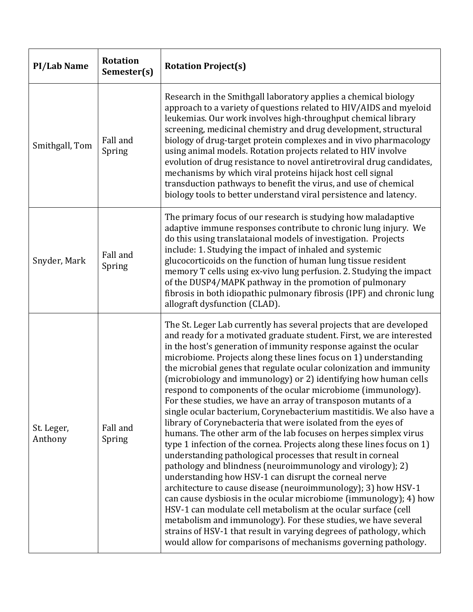| <b>PI/Lab Name</b>    | <b>Rotation</b><br>Semester(s) | <b>Rotation Project(s)</b>                                                                                                                                                                                                                                                                                                                                                                                                                                                                                                                                                                                                                                                                                                                                                                                                                                                                                                                                                                                                                                                                                                                                                                                                                                                                                                                                                                                                                                    |
|-----------------------|--------------------------------|---------------------------------------------------------------------------------------------------------------------------------------------------------------------------------------------------------------------------------------------------------------------------------------------------------------------------------------------------------------------------------------------------------------------------------------------------------------------------------------------------------------------------------------------------------------------------------------------------------------------------------------------------------------------------------------------------------------------------------------------------------------------------------------------------------------------------------------------------------------------------------------------------------------------------------------------------------------------------------------------------------------------------------------------------------------------------------------------------------------------------------------------------------------------------------------------------------------------------------------------------------------------------------------------------------------------------------------------------------------------------------------------------------------------------------------------------------------|
| Smithgall, Tom        | Fall and<br>Spring             | Research in the Smithgall laboratory applies a chemical biology<br>approach to a variety of questions related to HIV/AIDS and myeloid<br>leukemias. Our work involves high-throughput chemical library<br>screening, medicinal chemistry and drug development, structural<br>biology of drug-target protein complexes and in vivo pharmacology<br>using animal models. Rotation projects related to HIV involve<br>evolution of drug resistance to novel antiretroviral drug candidates,<br>mechanisms by which viral proteins hijack host cell signal<br>transduction pathways to benefit the virus, and use of chemical<br>biology tools to better understand viral persistence and latency.                                                                                                                                                                                                                                                                                                                                                                                                                                                                                                                                                                                                                                                                                                                                                                |
| Snyder, Mark          | Fall and<br>Spring             | The primary focus of our research is studying how maladaptive<br>adaptive immune responses contribute to chronic lung injury. We<br>do this using translataional models of investigation. Projects<br>include: 1. Studying the impact of inhaled and systemic<br>glucocorticoids on the function of human lung tissue resident<br>memory T cells using ex-vivo lung perfusion. 2. Studying the impact<br>of the DUSP4/MAPK pathway in the promotion of pulmonary<br>fibrosis in both idiopathic pulmonary fibrosis (IPF) and chronic lung<br>allograft dysfunction (CLAD).                                                                                                                                                                                                                                                                                                                                                                                                                                                                                                                                                                                                                                                                                                                                                                                                                                                                                    |
| St. Leger,<br>Anthony | Fall and<br>Spring             | The St. Leger Lab currently has several projects that are developed<br>and ready for a motivated graduate student. First, we are interested<br>in the host's generation of immunity response against the ocular<br>microbiome. Projects along these lines focus on 1) understanding<br>the microbial genes that regulate ocular colonization and immunity<br>(microbiology and immunology) or 2) identifying how human cells<br>respond to components of the ocular microbiome (immunology).<br>For these studies, we have an array of transposon mutants of a<br>single ocular bacterium, Corynebacterium mastitidis. We also have a<br>library of Corynebacteria that were isolated from the eyes of<br>humans. The other arm of the lab focuses on herpes simplex virus<br>type 1 infection of the cornea. Projects along these lines focus on 1)<br>understanding pathological processes that result in corneal<br>pathology and blindness (neuroimmunology and virology); 2)<br>understanding how HSV-1 can disrupt the corneal nerve<br>architecture to cause disease (neuroimmunology); 3) how HSV-1<br>can cause dysbiosis in the ocular microbiome (immunology); 4) how<br>HSV-1 can modulate cell metabolism at the ocular surface (cell<br>metabolism and immunology). For these studies, we have several<br>strains of HSV-1 that result in varying degrees of pathology, which<br>would allow for comparisons of mechanisms governing pathology. |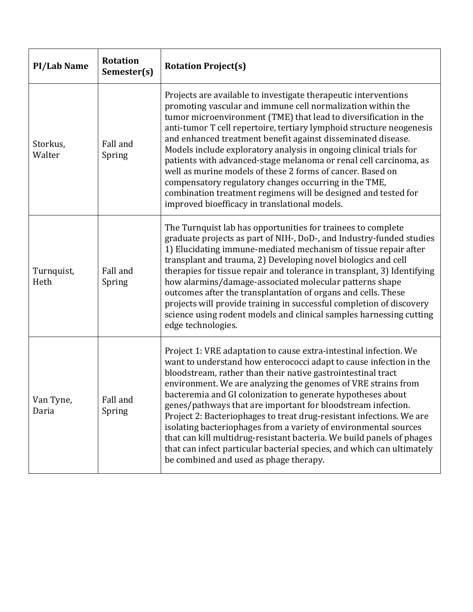| <b>PI/Lab Name</b> | <b>Rotation</b><br>Semester(s) | <b>Rotation Project(s)</b>                                                                                                                                                                                                                                                                                                                                                                                                                                                                                                                                                                                                                                                                                                                       |
|--------------------|--------------------------------|--------------------------------------------------------------------------------------------------------------------------------------------------------------------------------------------------------------------------------------------------------------------------------------------------------------------------------------------------------------------------------------------------------------------------------------------------------------------------------------------------------------------------------------------------------------------------------------------------------------------------------------------------------------------------------------------------------------------------------------------------|
| Storkus,<br>Walter | Fall and<br>Spring             | Projects are available to investigate therapeutic interventions<br>promoting vascular and immune cell normalization within the<br>tumor microenvironment (TME) that lead to diversification in the<br>anti-tumor T cell repertoire, tertiary lymphoid structure neogenesis<br>and enhanced treatment benefit against disseminated disease.<br>Models include exploratory analysis in ongoing clinical trials for<br>patients with advanced-stage melanoma or renal cell carcinoma, as<br>well as murine models of these 2 forms of cancer. Based on<br>compensatory regulatory changes occurring in the TME,<br>combination treatment regimens will be designed and tested for<br>improved bioefficacy in translational models.                  |
| Turnquist,<br>Heth | Fall and<br>Spring             | The Turnquist lab has opportunities for trainees to complete<br>graduate projects as part of NIH-, DoD-, and Industry-funded studies<br>1) Elucidating immune-mediated mechanism of tissue repair after<br>transplant and trauma, 2) Developing novel biologics and cell<br>therapies for tissue repair and tolerance in transplant, 3) Identifying<br>how alarmins/damage-associated molecular patterns shape<br>outcomes after the transplantation of organs and cells. These<br>projects will provide training in successful completion of discovery<br>science using rodent models and clinical samples harnessing cutting<br>edge technologies.                                                                                             |
| Van Tyne,<br>Daria | Fall and<br>Spring             | Project 1: VRE adaptation to cause extra-intestinal infection. We<br>want to understand how enterococci adapt to cause infection in the<br>bloodstream, rather than their native gastrointestinal tract<br>environment. We are analyzing the genomes of VRE strains from<br>bacteremia and GI colonization to generate hypotheses about<br>genes/pathways that are important for bloodstream infection.<br>Project 2: Bacteriophages to treat drug-resistant infections. We are<br>isolating bacteriophages from a variety of environmental sources<br>that can kill multidrug-resistant bacteria. We build panels of phages<br>that can infect particular bacterial species, and which can ultimately<br>be combined and used as phage therapy. |